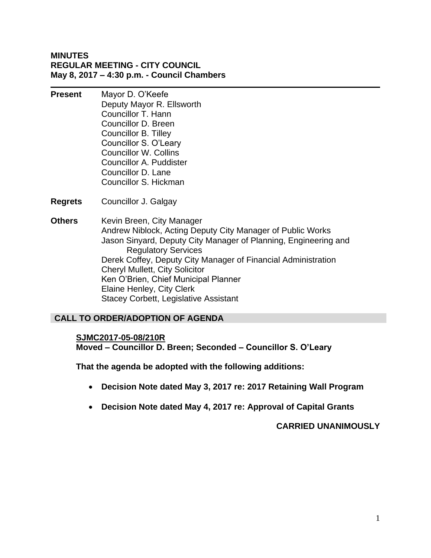#### **MINUTES REGULAR MEETING - CITY COUNCIL May 8, 2017 – 4:30 p.m. - Council Chambers**

- **Present** Mayor D. O'Keefe Deputy Mayor R. Ellsworth Councillor T. Hann Councillor D. Breen Councillor B. Tilley Councillor S. O'Leary Councillor W. Collins Councillor A. Puddister Councillor D. Lane Councillor S. Hickman
- **Regrets** Councillor J. Galgay
- **Others** Kevin Breen, City Manager Andrew Niblock, Acting Deputy City Manager of Public Works Jason Sinyard, Deputy City Manager of Planning, Engineering and Regulatory Services Derek Coffey, Deputy City Manager of Financial Administration Cheryl Mullett, City Solicitor Ken O'Brien, Chief Municipal Planner Elaine Henley, City Clerk Stacey Corbett, Legislative Assistant

#### **CALL TO ORDER/ADOPTION OF AGENDA**

#### **SJMC2017-05-08/210R**

**Moved – Councillor D. Breen; Seconded – Councillor S. O'Leary**

**That the agenda be adopted with the following additions:**

- **Decision Note dated May 3, 2017 re: 2017 Retaining Wall Program**
- **Decision Note dated May 4, 2017 re: Approval of Capital Grants**

**CARRIED UNANIMOUSLY**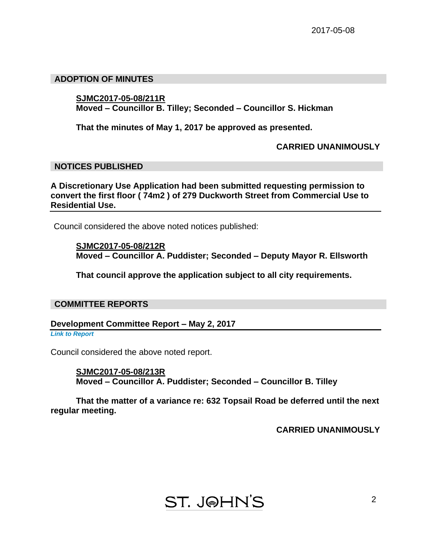#### **ADOPTION OF MINUTES**

#### **SJMC2017-05-08/211R**

**Moved – Councillor B. Tilley; Seconded – Councillor S. Hickman**

**That the minutes of May 1, 2017 be approved as presented.**

**CARRIED UNANIMOUSLY**

#### **NOTICES PUBLISHED**

**A Discretionary Use Application had been submitted requesting permission to convert the first floor ( 74m2 ) of 279 Duckworth Street from Commercial Use to Residential Use.**

Council considered the above noted notices published:

**SJMC2017-05-08/212R Moved – Councillor A. Puddister; Seconded – Deputy Mayor R. Ellsworth**

**That council approve the application subject to all city requirements.**

#### **COMMITTEE REPORTS**

**Development Committee Report – May 2, 2017**

*Link to Report*

Council considered the above noted report.

**SJMC2017-05-08/213R Moved – Councillor A. Puddister; Seconded – Councillor B. Tilley**

**That the matter of a variance re: 632 Topsail Road be deferred until the next regular meeting.**

**CARRIED UNANIMOUSLY**

# **ST. J@HN'S**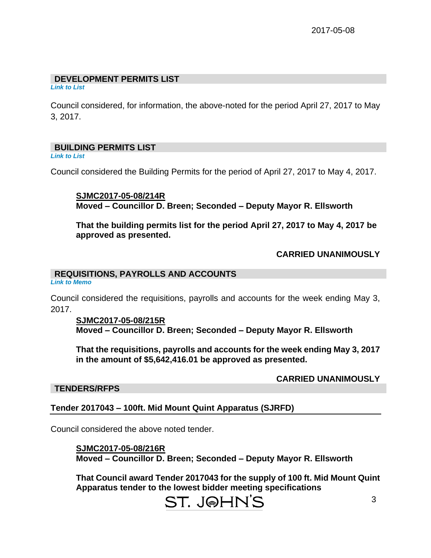#### **DEVELOPMENT PERMITS LIST**

*Link to List*

Council considered, for information, the above-noted for the period April 27, 2017 to May 3, 2017.

#### **BUILDING PERMITS LIST**

*Link to List*

Council considered the Building Permits for the period of April 27, 2017 to May 4, 2017.

**SJMC2017-05-08/214R Moved – Councillor D. Breen; Seconded – Deputy Mayor R. Ellsworth**

**That the building permits list for the period April 27, 2017 to May 4, 2017 be approved as presented.**

## **CARRIED UNANIMOUSLY**

## **REQUISITIONS, PAYROLLS AND ACCOUNTS**

*Link to Memo*

Council considered the requisitions, payrolls and accounts for the week ending May 3, 2017.

#### **SJMC2017-05-08/215R Moved – Councillor D. Breen; Seconded – Deputy Mayor R. Ellsworth**

**That the requisitions, payrolls and accounts for the week ending May 3, 2017 in the amount of \$5,642,416.01 be approved as presented.**

**CARRIED UNANIMOUSLY**

#### **TENDERS/RFPS**

## **Tender 2017043 – 100ft. Mid Mount Quint Apparatus (SJRFD)**

Council considered the above noted tender.

**SJMC2017-05-08/216R Moved – Councillor D. Breen; Seconded – Deputy Mayor R. Ellsworth**

**That Council award Tender 2017043 for the supply of 100 ft. Mid Mount Quint Apparatus tender to the lowest bidder meeting specifications**

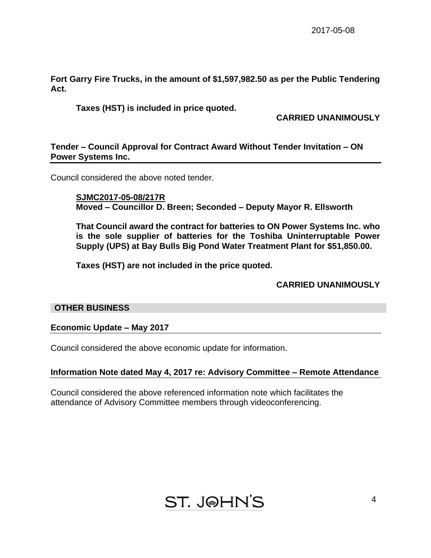**Fort Garry Fire Trucks, in the amount of \$1,597,982.50 as per the Public Tendering Act.**

**Taxes (HST) is included in price quoted.**

**CARRIED UNANIMOUSLY**

#### **Tender – Council Approval for Contract Award Without Tender Invitation – ON Power Systems Inc.**

Council considered the above noted tender.

**SJMC2017-05-08/217R Moved – Councillor D. Breen; Seconded – Deputy Mayor R. Ellsworth**

**That Council award the contract for batteries to ON Power Systems Inc. who is the sole supplier of batteries for the Toshiba Uninterruptable Power Supply (UPS) at Bay Bulls Big Pond Water Treatment Plant for \$51,850.00.**

**Taxes (HST) are not included in the price quoted.**

**CARRIED UNANIMOUSLY**

#### **OTHER BUSINESS**

**Economic Update – May 2017**

Council considered the above economic update for information.

#### **Information Note dated May 4, 2017 re: Advisory Committee – Remote Attendance**

Council considered the above referenced information note which facilitates the attendance of Advisory Committee members through videoconferencing.

**ST. JOHN'S**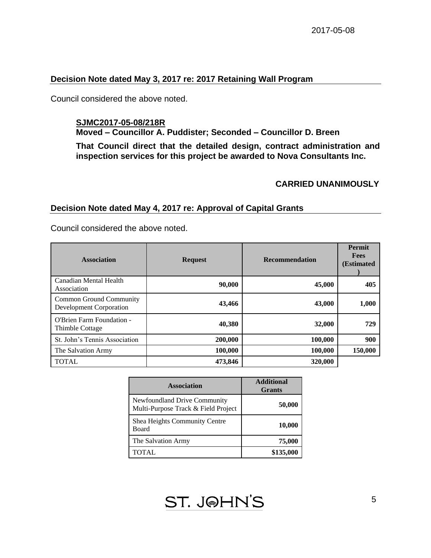#### **Decision Note dated May 3, 2017 re: 2017 Retaining Wall Program**

Council considered the above noted.

## **SJMC2017-05-08/218R**

**Moved – Councillor A. Puddister; Seconded – Councillor D. Breen**

**That Council direct that the detailed design, contract administration and inspection services for this project be awarded to Nova Consultants Inc.**

#### **CARRIED UNANIMOUSLY**

#### **Decision Note dated May 4, 2017 re: Approval of Capital Grants**

Council considered the above noted.

| <b>Association</b>                                 | <b>Request</b> | <b>Recommendation</b> | Permit<br><b>Fees</b><br><b>(Estimated)</b> |
|----------------------------------------------------|----------------|-----------------------|---------------------------------------------|
| Canadian Mental Health<br>Association              | 90,000         | 45,000                | 405                                         |
| Common Ground Community<br>Development Corporation | 43,466         | 43,000                | 1,000                                       |
| O'Brien Farm Foundation -<br>Thimble Cottage       | 40,380         | 32,000                | 729                                         |
| St. John's Tennis Association                      | 200,000        | 100,000               | 900                                         |
| The Salvation Army                                 | 100,000        | 100,000               | 150,000                                     |
| <b>TOTAL</b>                                       | 473,846        | 320,000               |                                             |

| <b>Association</b>                                                  | <b>Additional</b><br><b>Grants</b> |  |
|---------------------------------------------------------------------|------------------------------------|--|
| Newfoundland Drive Community<br>Multi-Purpose Track & Field Project | 50,000                             |  |
| Shea Heights Community Centre<br>Board                              | 10,000                             |  |
| The Salvation Army                                                  | 75,000                             |  |
| TOTAL                                                               | \$135,000                          |  |

**ST. J@HN'S**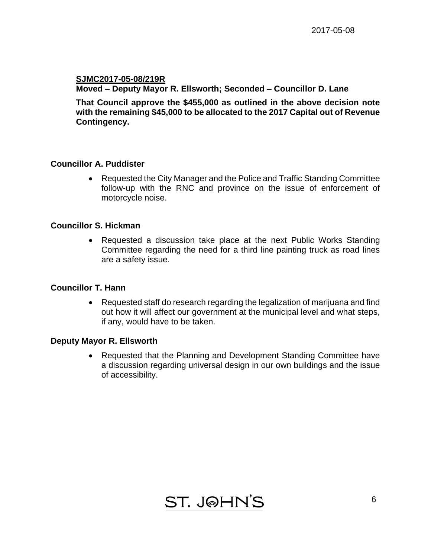#### **SJMC2017-05-08/219R Moved – Deputy Mayor R. Ellsworth; Seconded – Councillor D. Lane**

**That Council approve the \$455,000 as outlined in the above decision note with the remaining \$45,000 to be allocated to the 2017 Capital out of Revenue Contingency.** 

#### **Councillor A. Puddister**

 Requested the City Manager and the Police and Traffic Standing Committee follow-up with the RNC and province on the issue of enforcement of motorcycle noise.

#### **Councillor S. Hickman**

 Requested a discussion take place at the next Public Works Standing Committee regarding the need for a third line painting truck as road lines are a safety issue.

#### **Councillor T. Hann**

 Requested staff do research regarding the legalization of marijuana and find out how it will affect our government at the municipal level and what steps, if any, would have to be taken.

#### **Deputy Mayor R. Ellsworth**

• Requested that the Planning and Development Standing Committee have a discussion regarding universal design in our own buildings and the issue of accessibility.